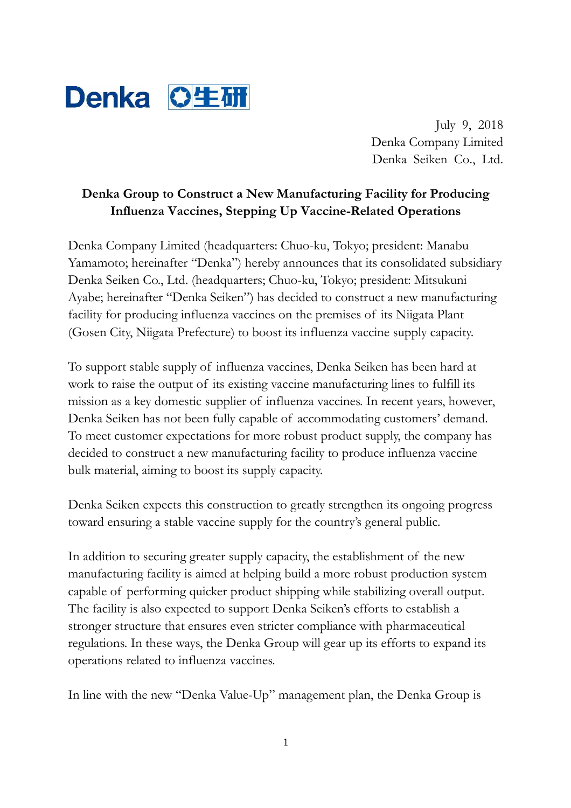

July 9, 2018 Denka Company Limited Denka Seiken Co., Ltd.

# **Denka Group to Construct a New Manufacturing Facility for Producing Influenza Vaccines, Stepping Up Vaccine-Related Operations**

Denka Company Limited (headquarters: Chuo-ku, Tokyo; president: Manabu Yamamoto; hereinafter "Denka") hereby announces that its consolidated subsidiary Denka Seiken Co., Ltd. (headquarters; Chuo-ku, Tokyo; president: Mitsukuni Ayabe; hereinafter "Denka Seiken") has decided to construct a new manufacturing facility for producing influenza vaccines on the premises of its Niigata Plant (Gosen City, Niigata Prefecture) to boost its influenza vaccine supply capacity.

To support stable supply of influenza vaccines, Denka Seiken has been hard at work to raise the output of its existing vaccine manufacturing lines to fulfill its mission as a key domestic supplier of influenza vaccines. In recent years, however, Denka Seiken has not been fully capable of accommodating customers' demand. To meet customer expectations for more robust product supply, the company has decided to construct a new manufacturing facility to produce influenza vaccine bulk material, aiming to boost its supply capacity.

Denka Seiken expects this construction to greatly strengthen its ongoing progress toward ensuring a stable vaccine supply for the country's general public.

In addition to securing greater supply capacity, the establishment of the new manufacturing facility is aimed at helping build a more robust production system capable of performing quicker product shipping while stabilizing overall output. The facility is also expected to support Denka Seiken's efforts to establish a stronger structure that ensures even stricter compliance with pharmaceutical regulations. In these ways, the Denka Group will gear up its efforts to expand its operations related to influenza vaccines.

In line with the new "Denka Value-Up" management plan, the Denka Group is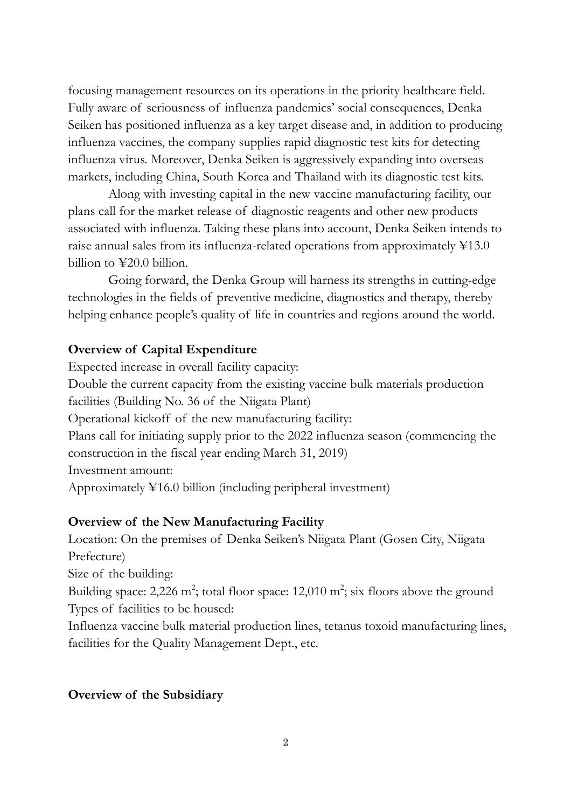focusing management resources on its operations in the priority healthcare field. Fully aware of seriousness of influenza pandemics' social consequences, Denka Seiken has positioned influenza as a key target disease and, in addition to producing influenza vaccines, the company supplies rapid diagnostic test kits for detecting influenza virus. Moreover, Denka Seiken is aggressively expanding into overseas markets, including China, South Korea and Thailand with its diagnostic test kits.

 Along with investing capital in the new vaccine manufacturing facility, our plans call for the market release of diagnostic reagents and other new products associated with influenza. Taking these plans into account, Denka Seiken intends to raise annual sales from its influenza-related operations from approximately ¥13.0 billion to ¥20.0 billion.

 Going forward, the Denka Group will harness its strengths in cutting-edge technologies in the fields of preventive medicine, diagnostics and therapy, thereby helping enhance people's quality of life in countries and regions around the world.

## **Overview of Capital Expenditure**

Expected increase in overall facility capacity: Double the current capacity from the existing vaccine bulk materials production facilities (Building No. 36 of the Niigata Plant) Operational kickoff of the new manufacturing facility: Plans call for initiating supply prior to the 2022 influenza season (commencing the construction in the fiscal year ending March 31, 2019) Investment amount: Approximately ¥16.0 billion (including peripheral investment)

#### **Overview of the New Manufacturing Facility**

Location: On the premises of Denka Seiken's Niigata Plant (Gosen City, Niigata Prefecture) Size of the building:

Building space: 2,226 m<sup>2</sup>; total floor space: 12,010 m<sup>2</sup>; six floors above the ground Types of facilities to be housed:

Influenza vaccine bulk material production lines, tetanus toxoid manufacturing lines, facilities for the Quality Management Dept., etc.

#### **Overview of the Subsidiary**